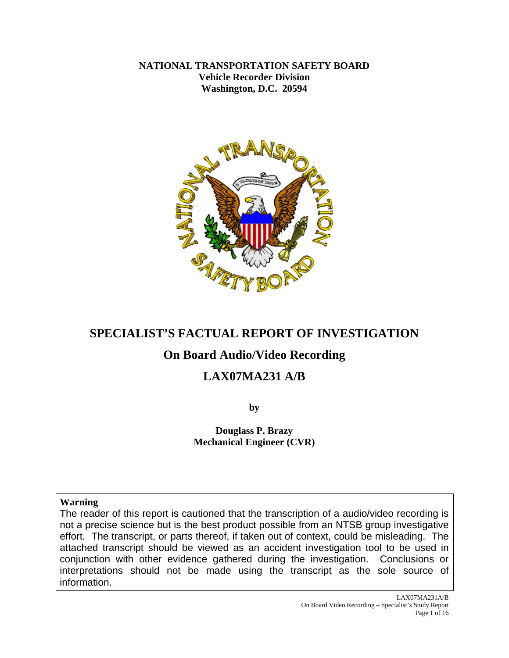**NATIONAL TRANSPORTATION SAFETY BOARD Vehicle Recorder Division Washington, D.C. 20594** 



# **SPECIALIST'S FACTUAL REPORT OF INVESTIGATION**

# **On Board Audio/Video Recording**

# **LAX07MA231 A/B**

**by** 

**Douglass P. Brazy Mechanical Engineer (CVR)** 

**Warning**

The reader of this report is cautioned that the transcription of a audio/video recording is not a precise science but is the best product possible from an NTSB group investigative effort. The transcript, or parts thereof, if taken out of context, could be misleading. The attached transcript should be viewed as an accident investigation tool to be used in conjunction with other evidence gathered during the investigation. Conclusions or interpretations should not be made using the transcript as the sole source of information.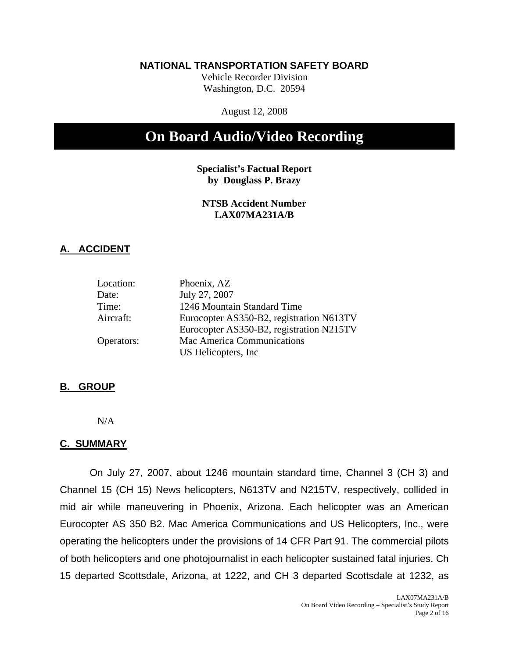### **NATIONAL TRANSPORTATION SAFETY BOARD**

Vehicle Recorder Division Washington, D.C. 20594

August 12, 2008

# **On Board Audio/Video Recording**

**Specialist's Factual Report by Douglass P. Brazy** 

### **NTSB Accident Number LAX07MA231A/B**

### **A. ACCIDENT**

| Location:  | Phoenix, AZ                              |
|------------|------------------------------------------|
| Date:      | July 27, 2007                            |
| Time:      | 1246 Mountain Standard Time              |
| Aircraft:  | Eurocopter AS350-B2, registration N613TV |
|            | Eurocopter AS350-B2, registration N215TV |
| Operators: | Mac America Communications               |
|            | US Helicopters, Inc.                     |

### **B. GROUP**

N/A

### **C. SUMMARY**

On July 27, 2007, about 1246 mountain standard time, Channel 3 (CH 3) and Channel 15 (CH 15) News helicopters, N613TV and N215TV, respectively, collided in mid air while maneuvering in Phoenix, Arizona. Each helicopter was an American Eurocopter AS 350 B2. Mac America Communications and US Helicopters, Inc., were operating the helicopters under the provisions of 14 CFR Part 91. The commercial pilots of both helicopters and one photojournalist in each helicopter sustained fatal injuries. Ch 15 departed Scottsdale, Arizona, at 1222, and CH 3 departed Scottsdale at 1232, as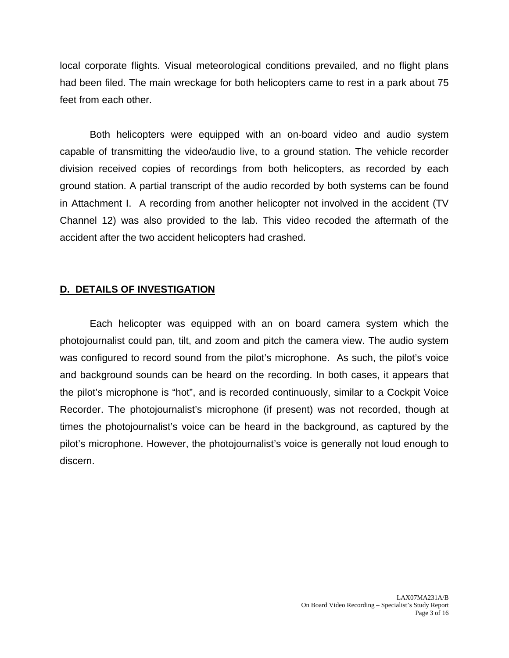local corporate flights. Visual meteorological conditions prevailed, and no flight plans had been filed. The main wreckage for both helicopters came to rest in a park about 75 feet from each other.

Both helicopters were equipped with an on-board video and audio system capable of transmitting the video/audio live, to a ground station. The vehicle recorder division received copies of recordings from both helicopters, as recorded by each ground station. A partial transcript of the audio recorded by both systems can be found in Attachment I. A recording from another helicopter not involved in the accident (TV Channel 12) was also provided to the lab. This video recoded the aftermath of the accident after the two accident helicopters had crashed.

### **D. DETAILS OF INVESTIGATION**

Each helicopter was equipped with an on board camera system which the photojournalist could pan, tilt, and zoom and pitch the camera view. The audio system was configured to record sound from the pilot's microphone. As such, the pilot's voice and background sounds can be heard on the recording. In both cases, it appears that the pilot's microphone is "hot", and is recorded continuously, similar to a Cockpit Voice Recorder. The photojournalist's microphone (if present) was not recorded, though at times the photojournalist's voice can be heard in the background, as captured by the pilot's microphone. However, the photojournalist's voice is generally not loud enough to discern.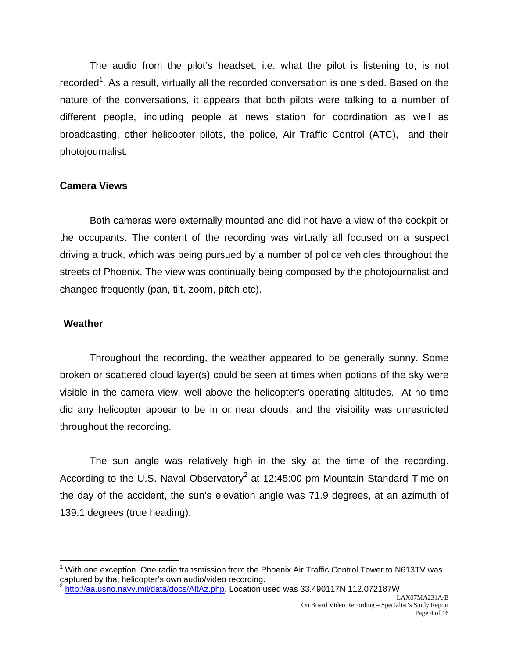The audio from the pilot's headset, i.e. what the pilot is listening to, is not recorded<sup>1</sup>. As a result, virtually all the recorded conversation is one sided. Based on the nature of the conversations, it appears that both pilots were talking to a number of different people, including people at news station for coordination as well as broadcasting, other helicopter pilots, the police, Air Traffic Control (ATC), and their photojournalist.

### **Camera Views**

Both cameras were externally mounted and did not have a view of the cockpit or the occupants. The content of the recording was virtually all focused on a suspect driving a truck, which was being pursued by a number of police vehicles throughout the streets of Phoenix. The view was continually being composed by the photojournalist and changed frequently (pan, tilt, zoom, pitch etc).

### **Weather**

1

Throughout the recording, the weather appeared to be generally sunny. Some broken or scattered cloud layer(s) could be seen at times when potions of the sky were visible in the camera view, well above the helicopter's operating altitudes. At no time did any helicopter appear to be in or near clouds, and the visibility was unrestricted throughout the recording.

The sun angle was relatively high in the sky at the time of the recording. According to the U.S. Naval Observatory<sup>2</sup> at 12:45:00 pm Mountain Standard Time on the day of the accident, the sun's elevation angle was 71.9 degrees, at an azimuth of 139.1 degrees (true heading).

<sup>&</sup>lt;sup>1</sup> With one exception. One radio transmission from the Phoenix Air Traffic Control Tower to N613TV was captured by that helicopter's own audio/video recording.<br><sup>2</sup> http://aa.usno.navy.mil/data/docs/AltAz.php. Location used was 33.490117N 112.072187W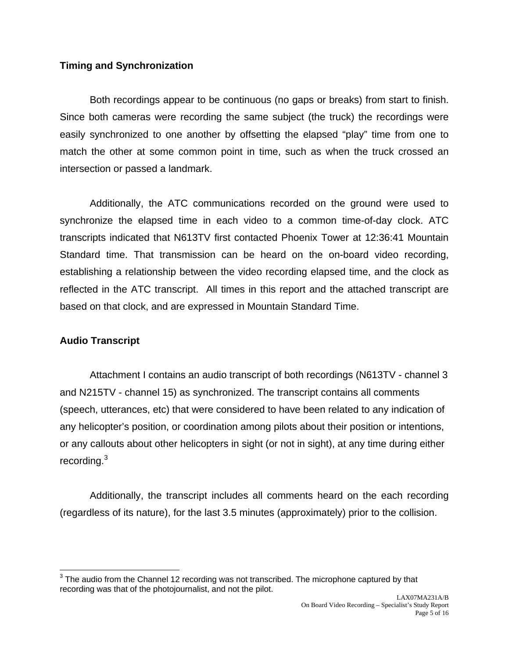### **Timing and Synchronization**

Both recordings appear to be continuous (no gaps or breaks) from start to finish. Since both cameras were recording the same subject (the truck) the recordings were easily synchronized to one another by offsetting the elapsed "play" time from one to match the other at some common point in time, such as when the truck crossed an intersection or passed a landmark.

Additionally, the ATC communications recorded on the ground were used to synchronize the elapsed time in each video to a common time-of-day clock. ATC transcripts indicated that N613TV first contacted Phoenix Tower at 12:36:41 Mountain Standard time. That transmission can be heard on the on-board video recording, establishing a relationship between the video recording elapsed time, and the clock as reflected in the ATC transcript. All times in this report and the attached transcript are based on that clock, and are expressed in Mountain Standard Time.

### **Audio Transcript**

Attachment I contains an audio transcript of both recordings (N613TV - channel 3 and N215TV - channel 15) as synchronized. The transcript contains all comments (speech, utterances, etc) that were considered to have been related to any indication of any helicopter's position, or coordination among pilots about their position or intentions, or any callouts about other helicopters in sight (or not in sight), at any time during either recording.<sup>3</sup>

Additionally, the transcript includes all comments heard on the each recording (regardless of its nature), for the last 3.5 minutes (approximately) prior to the collision.

 $\overline{a}$  $3$  The audio from the Channel 12 recording was not transcribed. The microphone captured by that recording was that of the photojournalist, and not the pilot.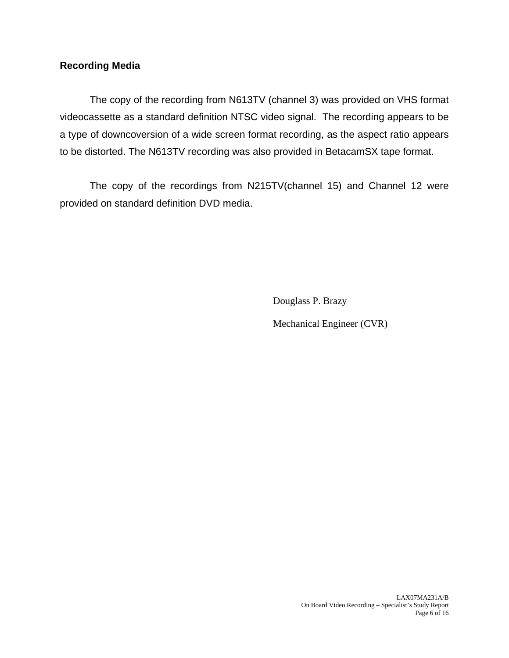### **Recording Media**

The copy of the recording from N613TV (channel 3) was provided on VHS format videocassette as a standard definition NTSC video signal. The recording appears to be a type of downcoversion of a wide screen format recording, as the aspect ratio appears to be distorted. The N613TV recording was also provided in BetacamSX tape format.

 The copy of the recordings from N215TV(channel 15) and Channel 12 were provided on standard definition DVD media.

Douglass P. Brazy

Mechanical Engineer (CVR)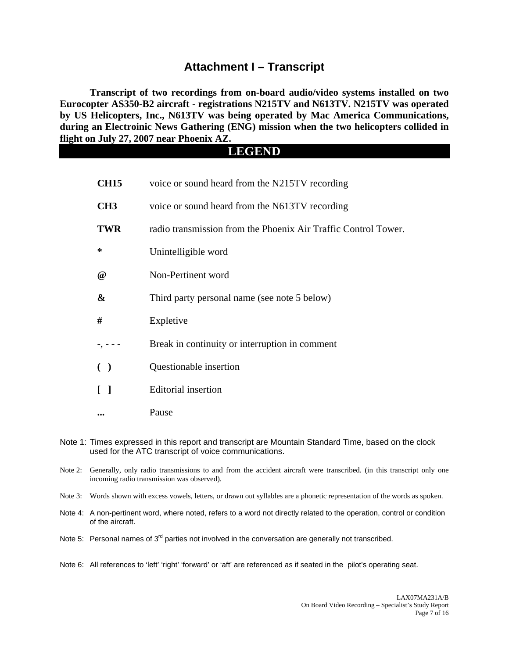### **Attachment I – Transcript**

**Transcript of two recordings from on-board audio/video systems installed on two Eurocopter AS350-B2 aircraft - registrations N215TV and N613TV. N215TV was operated by US Helicopters, Inc., N613TV was being operated by Mac America Communications, during an Electroinic News Gathering (ENG) mission when the two helicopters collided in flight on July 27, 2007 near Phoenix AZ.** 

### **LEGEND**

| <b>CH15</b>          | voice or sound heard from the N215TV recording                 |
|----------------------|----------------------------------------------------------------|
| CH <sub>3</sub>      | voice or sound heard from the N613TV recording                 |
| <b>TWR</b>           | radio transmission from the Phoenix Air Traffic Control Tower. |
| ∗                    | Unintelligible word                                            |
| $^{\textregistered}$ | Non-Pertinent word                                             |
| &                    | Third party personal name (see note 5 below)                   |
| #                    | Expletive                                                      |
|                      | Break in continuity or interruption in comment                 |
| $\left($             | Questionable insertion                                         |
|                      | <b>Editorial</b> insertion                                     |
|                      | Pause                                                          |
|                      |                                                                |

- Note 1: Times expressed in this report and transcript are Mountain Standard Time, based on the clock used for the ATC transcript of voice communications.
- Note 2: Generally, only radio transmissions to and from the accident aircraft were transcribed. (in this transcript only one incoming radio transmission was observed).
- Note 3: Words shown with excess vowels, letters, or drawn out syllables are a phonetic representation of the words as spoken.
- Note 4: A non-pertinent word, where noted, refers to a word not directly related to the operation, control or condition of the aircraft.
- Note 5: Personal names of  $3<sup>rd</sup>$  parties not involved in the conversation are generally not transcribed.
- Note 6: All references to 'left' 'right' 'forward' or 'aft' are referenced as if seated in the pilot's operating seat.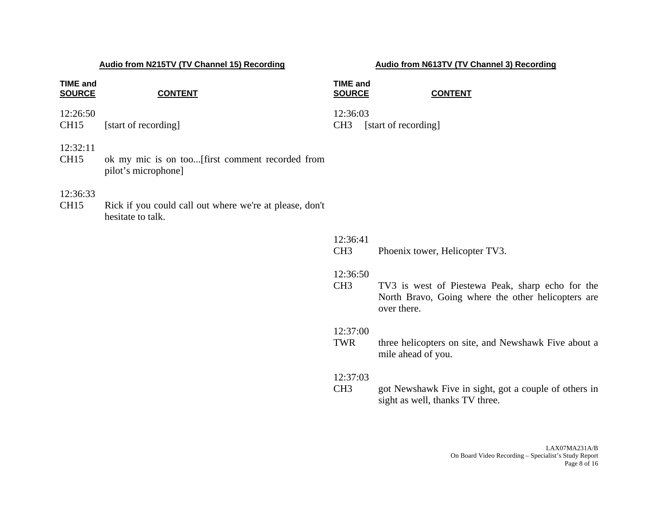| <b>TIME and</b><br><b>SOURCE</b> | <b>CONTENT</b>                                   | <b>TIME and</b><br><b>SOURCE</b> |                      | <b>CONTENT</b> |
|----------------------------------|--------------------------------------------------|----------------------------------|----------------------|----------------|
| 12:26:50<br>CH <sub>15</sub>     | [start of recording]                             | 12:36:03<br>CH <sub>3</sub>      | [start of recording] |                |
| 12:32:11<br>CUT15                | alz my mig is an too first commant regarded from |                                  |                      |                |

CH15 ok my mic is on too...[first comment recorded from pilot's microphone]

### 12:36:33

CH15 Rick if you could call out where we're at please, don't hesitate to talk.

### 12:36:41

CH3 Phoenix tower, Helicopter TV3.

### 12:36:50

 CH3 TV3 is west of Piestewa Peak, sharp echo for the North Bravo, Going where the other helicopters are over there.

### 12:37:00

 TWR three helicopters on site, and Newshawk Five about a mile ahead of you.

### 12:37:03

 CH3 got Newshawk Five in sight, got a couple of others in sight as well, thanks TV three.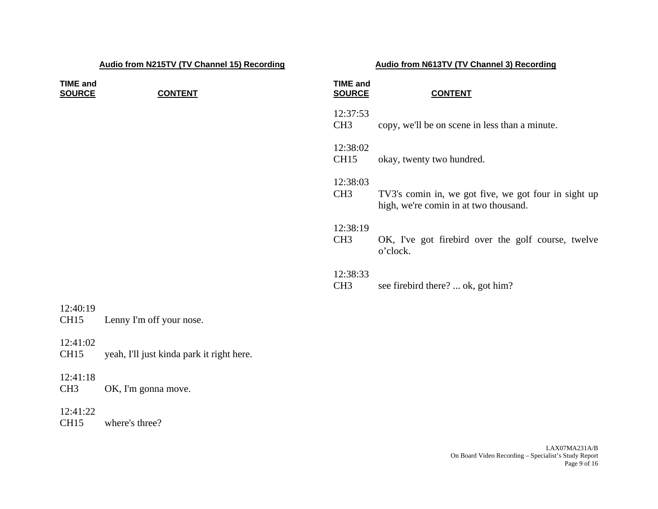| <b>TIME and</b><br><b>SOURCE</b> | <b>CONTENT</b>                            | <b>TIME and</b><br><b>SOURCE</b> | <b>CONTENT</b>                                                                                |
|----------------------------------|-------------------------------------------|----------------------------------|-----------------------------------------------------------------------------------------------|
|                                  |                                           | 12:37:53<br>CH <sub>3</sub>      | copy, we'll be on scene in less than a minute.                                                |
|                                  |                                           | 12:38:02<br><b>CH15</b>          | okay, twenty two hundred.                                                                     |
|                                  |                                           | 12:38:03<br>CH <sub>3</sub>      | TV3's comin in, we got five, we got four in sight up<br>high, we're comin in at two thousand. |
|                                  |                                           | 12:38:19<br>CH <sub>3</sub>      | OK, I've got firebird over the golf course, twelve<br>o'clock.                                |
|                                  |                                           | 12:38:33<br>CH <sub>3</sub>      | see firebird there?  ok, got him?                                                             |
| 12:40:19<br><b>CH15</b>          | Lenny I'm off your nose.                  |                                  |                                                                                               |
| 12:41:02<br><b>CH15</b>          | yeah, I'll just kinda park it right here. |                                  |                                                                                               |
| 12:41:18<br>CH <sub>3</sub>      | OK, I'm gonna move.                       |                                  |                                                                                               |
| 12:41:22<br><b>CH15</b>          | where's three?                            |                                  |                                                                                               |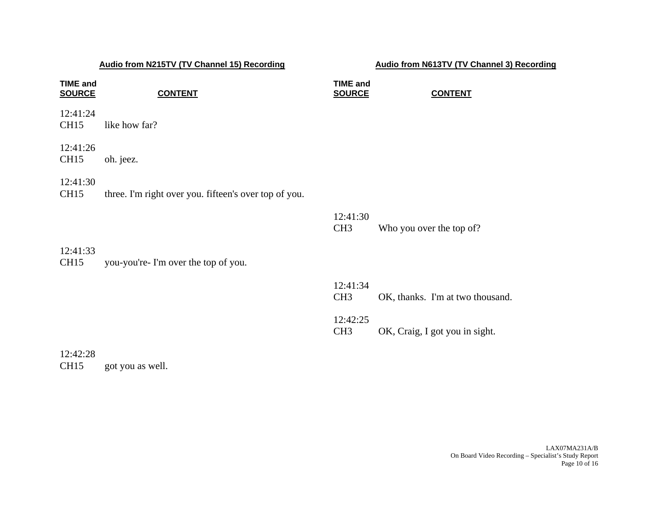| <b>TIME and</b><br><b>SOURCE</b> | <b>CONTENT</b>                                        | <b>TIME and</b><br><b>SOURCE</b> | <b>CONTENT</b>                   |
|----------------------------------|-------------------------------------------------------|----------------------------------|----------------------------------|
| 12:41:24<br><b>CH15</b>          | like how far?                                         |                                  |                                  |
| 12:41:26<br><b>CH15</b>          | oh. jeez.                                             |                                  |                                  |
| 12:41:30<br><b>CH15</b>          | three. I'm right over you. fifteen's over top of you. |                                  |                                  |
|                                  |                                                       | 12:41:30<br>CH <sub>3</sub>      | Who you over the top of?         |
| 12:41:33<br><b>CH15</b>          | you-you're- I'm over the top of you.                  |                                  |                                  |
|                                  |                                                       | 12:41:34<br>CH <sub>3</sub>      | OK, thanks. I'm at two thousand. |
|                                  |                                                       | 12:42:25<br>CH <sub>3</sub>      | OK, Craig, I got you in sight.   |
| 12:42:28                         |                                                       |                                  |                                  |

CH15 got you as well.

LAX07MA231A/B On Board Video Recording – Specialist's Study Report Page 10 of 16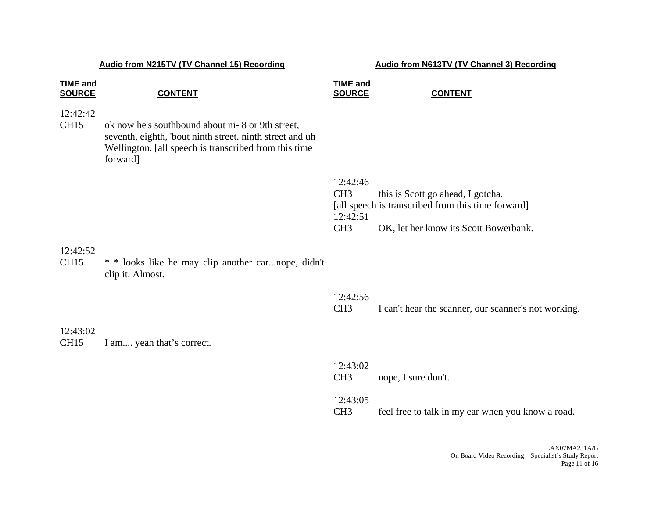| <b>TIME and</b><br><b>SOURCE</b> | <b>CONTENT</b>                                                                                                                                                                    | <b>TIME and</b><br><b>SOURCE</b>                           | <b>CONTENT</b>                                                                                                                   |
|----------------------------------|-----------------------------------------------------------------------------------------------------------------------------------------------------------------------------------|------------------------------------------------------------|----------------------------------------------------------------------------------------------------------------------------------|
| 12:42:42<br>CH <sub>15</sub>     | ok now he's southbound about ni-8 or 9th street,<br>seventh, eighth, 'bout ninth street. ninth street and uh<br>Wellington. [all speech is transcribed from this time<br>forward] |                                                            |                                                                                                                                  |
|                                  |                                                                                                                                                                                   | 12:42:46<br>CH <sub>3</sub><br>12:42:51<br>CH <sub>3</sub> | this is Scott go ahead, I gotcha.<br>[all speech is transcribed from this time forward]<br>OK, let her know its Scott Bowerbank. |
| 12:42:52<br><b>CH15</b>          | * * looks like he may clip another carnope, didn't<br>clip it. Almost.                                                                                                            |                                                            |                                                                                                                                  |
|                                  |                                                                                                                                                                                   | 12:42:56<br>CH <sub>3</sub>                                | I can't hear the scanner, our scanner's not working.                                                                             |
| 12:43:02<br><b>CH15</b>          | I am yeah that's correct.                                                                                                                                                         |                                                            |                                                                                                                                  |
|                                  |                                                                                                                                                                                   | 12:43:02<br>CH <sub>3</sub>                                | nope, I sure don't.                                                                                                              |
|                                  |                                                                                                                                                                                   | 12:43:05<br>CH <sub>3</sub>                                | feel free to talk in my ear when you know a road.                                                                                |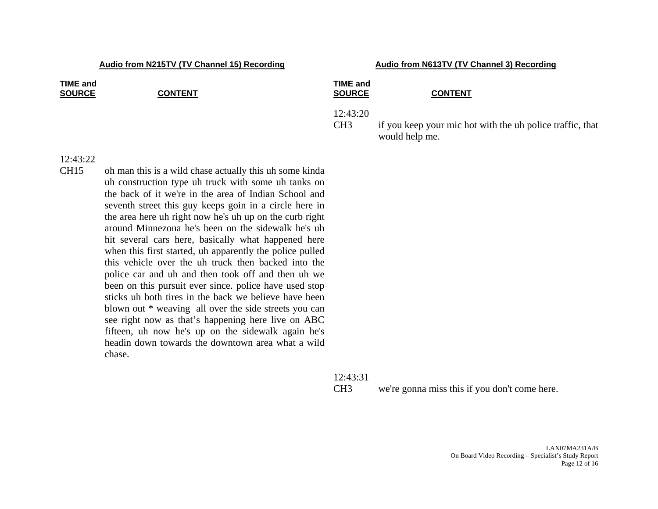| <b>TIME and</b><br><b>SOURCE</b> | <b>CONTENT</b> | <b>TIME and</b><br><b>SOURCE</b> | <b>CONTENT</b>                                                              |
|----------------------------------|----------------|----------------------------------|-----------------------------------------------------------------------------|
|                                  |                | 12:43:20<br>CH <sub>3</sub>      | if you keep your mic hot with the uh police traffic, that<br>would help me. |
| 12.43.77                         |                |                                  |                                                                             |

12:43:31

12:43:22

CH15 oh man this is a wild chase actually this uh some kinda uh construction type uh truck with some uh tanks on the back of it we're in the area of Indian School and seventh street this guy keeps goin in a circle here in the area here uh right now he's uh up on the curb right around Minnezona he's been on the sidewalk he's uh hit several cars here, basically what happened here when this first started, uh apparently the police pulled this vehicle over the uh truck then backed into the police car and uh and then took off and then uh we been on this pursuit ever since. police have used stop sticks uh both tires in the back we believe have been blown out \* weaving all over the side streets you can see right now as that's happening here live on ABC fifteen, uh now he's up on the sidewalk again he's headin down towards the downtown area what a wild chase.

CH3 we're gonna miss this if you don't come here.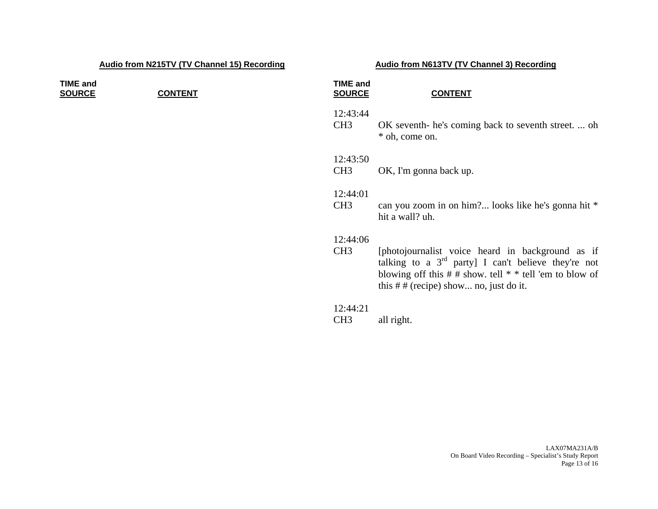### **TIME andSOURCE CONTENT**

### **SOURCE CONTENT**

### 12:43:44

**TIME and**

 CH3 OK seventh- he's coming back to seventh street. ... oh \* oh, come on.

### 12:43:50

### 12:44:01

 CH3 can you zoom in on him?... looks like he's gonna hit \* hit a wall? uh.

### 12:44:06

 CH3 [photojournalist voice heard in background as if talking to a  $3^{rd}$  party] I can't believe they're not blowing off this  $# #$  show. tell  $* *$  tell 'em to blow of this  $#$  # (recipe) show... no, just do it.

### 12:44:21

CH3 all right.

CH3 OK, I'm gonna back up.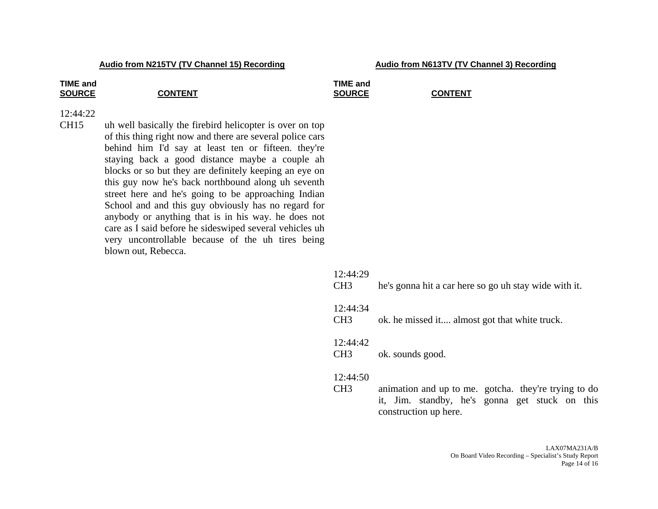# **TIME and**

### SOURCE **CONTENT**

### **TIME and** SOURCE CONTENT

### 12:44:22

CH15 uh well basically the firebird helicopter is over on top of this thing right now and there are several police cars behind him I'd say at least ten or fifteen. they're staying back a good distance maybe a couple ah blocks or so but they are definitely keeping an eye on this guy now he's back northbound along uh seventh street here and he's going to be approaching Indian School and and this guy obviously has no regard for anybody or anything that is in his way. he does not care as I said before he sideswiped several vehicles uh very uncontrollable because of the uh tires being blown out, Rebecca.

| 12:44:29<br>CH <sub>3</sub> | he's gonna hit a car here so go uh stay wide with it.                                                                           |
|-----------------------------|---------------------------------------------------------------------------------------------------------------------------------|
| 12:44:34<br>CH <sub>3</sub> | ok. he missed it almost got that white truck.                                                                                   |
| 12:44:42<br>CH <sub>3</sub> | ok. sounds good.                                                                                                                |
| 12:44:50<br>CH <sub>3</sub> | animation and up to me. gotcha. they're trying to do<br>it, Jim. standby, he's gonna get stuck on this<br>construction up here. |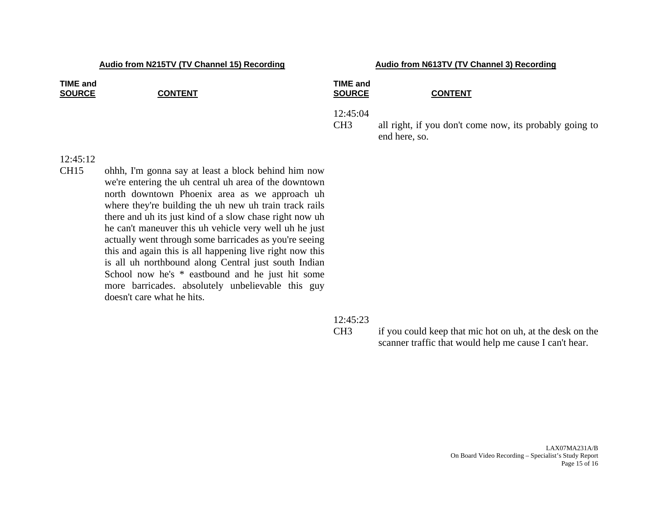| <b>TIME and</b><br><b>SOURCE</b> | <b>CONTENT</b> | <b>TIME and</b><br><b>SOURCE</b> | <b>CONTENT</b>                                                           |
|----------------------------------|----------------|----------------------------------|--------------------------------------------------------------------------|
|                                  |                | 12:45:04<br>CH <sub>3</sub>      | all right, if you don't come now, its probably going to<br>end here, so. |
| 12:45:12                         |                |                                  |                                                                          |

CH15 ohhh, I'm gonna say at least a block behind him now we're entering the uh central uh area of the downtown north downtown Phoenix area as we approach uh where they're building the uh new uh train track rails there and uh its just kind of a slow chase right now uh he can't maneuver this uh vehicle very well uh he just actually went through some barricades as you're seeing this and again this is all happening live right now this is all uh northbound along Central just south Indian School now he's \* eastbound and he just hit some more barricades. absolutely unbelievable this guy doesn't care what he hits.

### 12:45:23

 CH3 if you could keep that mic hot on uh, at the desk on the scanner traffic that would help me cause I can't hear.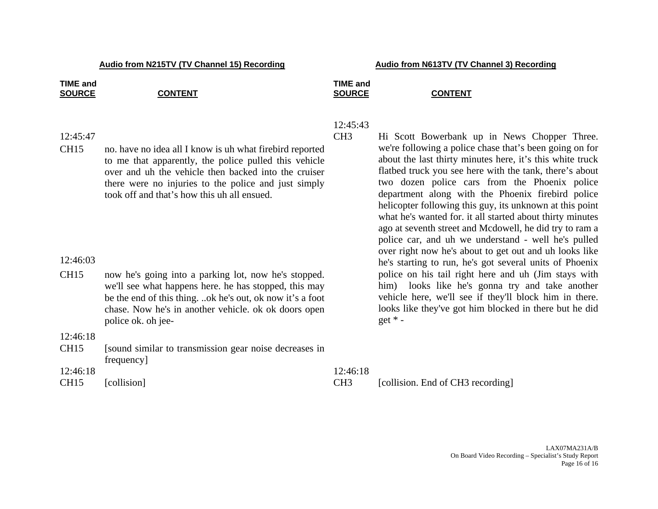### **TIME and TIME and** SOURCE CONTENT SOURCE **CONTENT**

### 12:45:47

CH15 no. have no idea all I know is uh what firebird reported to me that apparently, the police pulled this vehicle over and uh the vehicle then backed into the cruiser there were no injuries to the police and just simply took off and that's how this uh all ensued.

### 12:46:03

CH15 now he's going into a parking lot, now he's stopped. we'll see what happens here. he has stopped, this may be the end of this thing. ..ok he's out, ok now it's a foot chase. Now he's in another vehicle. ok ok doors open police ok. oh jee-

12:46:18

CH15 [sound similar to transmission gear noise decreases in frequency]

### 12:45:43

CH3 Hi Scott Bowerbank up in News Chopper Three.<br>we're following a police chase that's been going on for<br>about the last thirty minutes here, it's this white truck<br>flatbed truck you see here with the tank, there's about<br>two

12:46:18 12:46:18 CH15 [collision] [collision] CH3 [collision. End of CH3 recording]